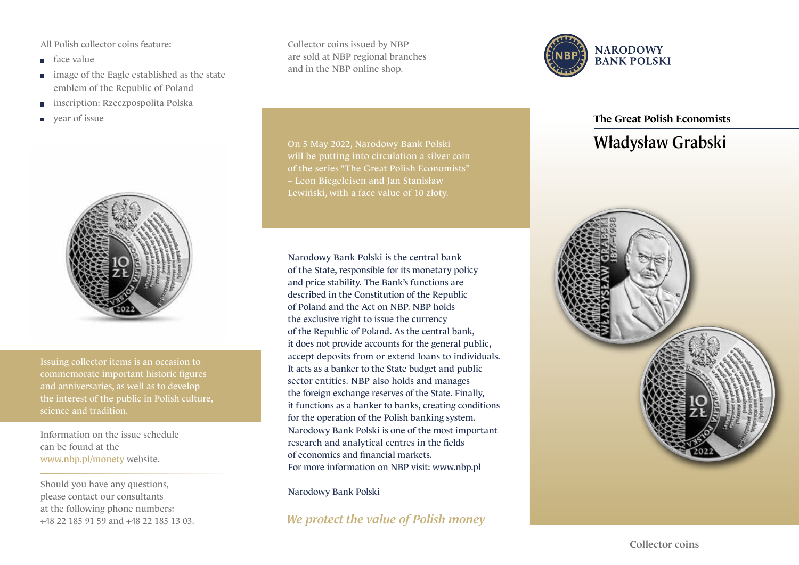All Polish collector coins feature:

- face value
- **image of the Eagle established as the state** emblem of the Republic of Poland
- inscription: Rzeczpospolita Polska  $\Box$
- year of issue  $\Box$



Issuing collector items is an occasion to commemorate important historic figures and anniversaries, as well as to develop science and tradition.

Information on the issue schedule can be found at the www.nbp.pl/monety website.

Should you have any questions, please contact our consultants at the following phone numbers: +48 22 185 91 59 and +48 22 185 13 03. Collector coins issued by NBP are sold at NBP regional branches and in the NBP online shop.

Narodowy Bank Polski is the central bank of the State, responsible for its monetary policy and price stability. The Bank's functions are described in the Constitution of the Republic of Poland and the Act on NBP. NBP holds the exclusive right to issue the currency of the Republic of Poland. As the central bank, it does not provide accounts for the general public, accept deposits from or extend loans to individuals. It acts as a banker to the State budget and public sector entities. NBP also holds and manages the foreign exchange reserves of the State. Finally, it functions as a banker to banks, creating conditions for the operation of the Polish banking system. Narodowy Bank Polski is one of the most important

On 5 May 2022, Narodowy Bank Polski will be putting into circulation a silver coin of the series "The Great Polish Economists" – Leon Biegeleisen and Jan Stanisław Lewiński, with a face value of 10 złoty.



## The Great Polish Economists

## Władysław Grabski



*We protect the value of Polish money*

For more information on NBP visit: www.nbp.pl

research and analytical centres in the fields

of economics and financial markets.

Narodowy Bank Polski